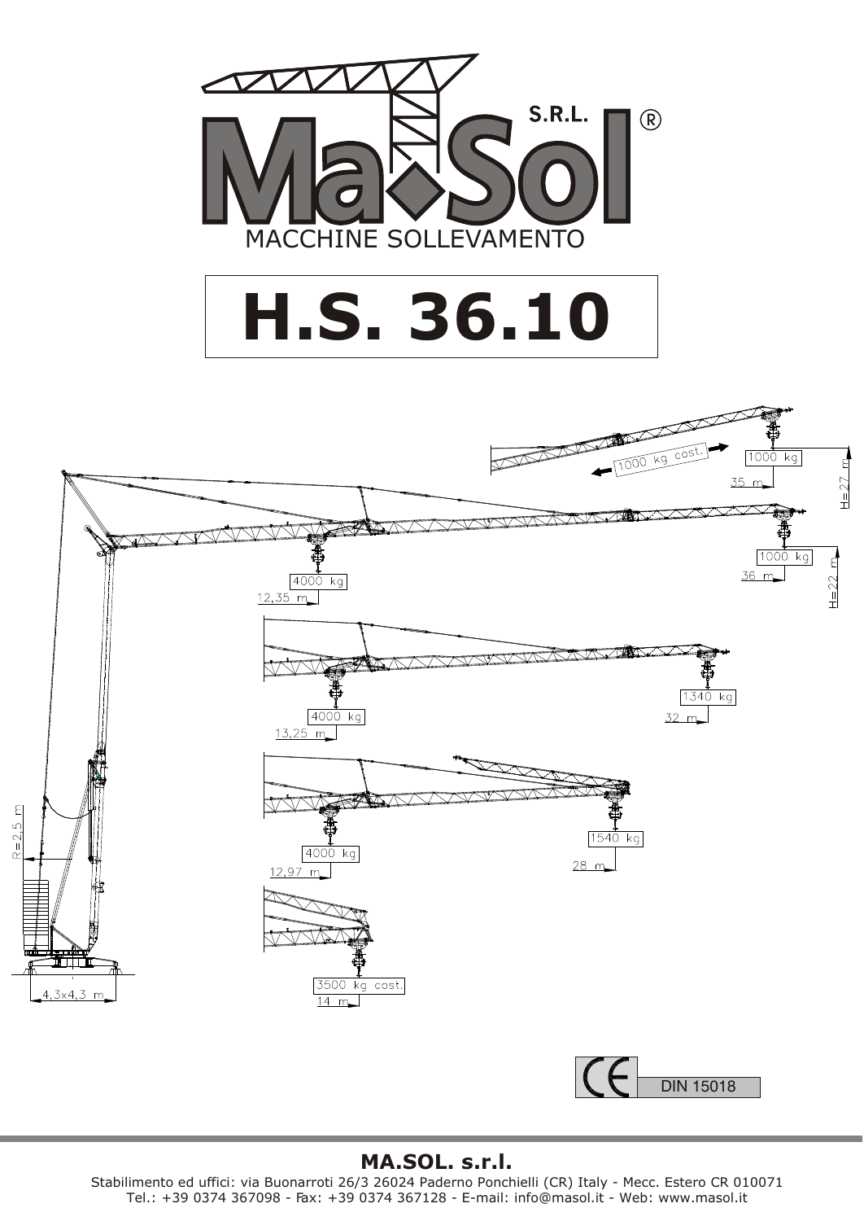

## **H.S. 36.10**



## **MA.SOL. s.r.l.**

Stabilimento ed uffici: via Buonarroti 26/3 26024 Paderno Ponchielli (CR) Italy - Mecc. Estero CR 010071 Tel.: +39 0374 367098 - Fax: +39 0374 367128 - E-mail: info@masol.it - Web: www.masol.it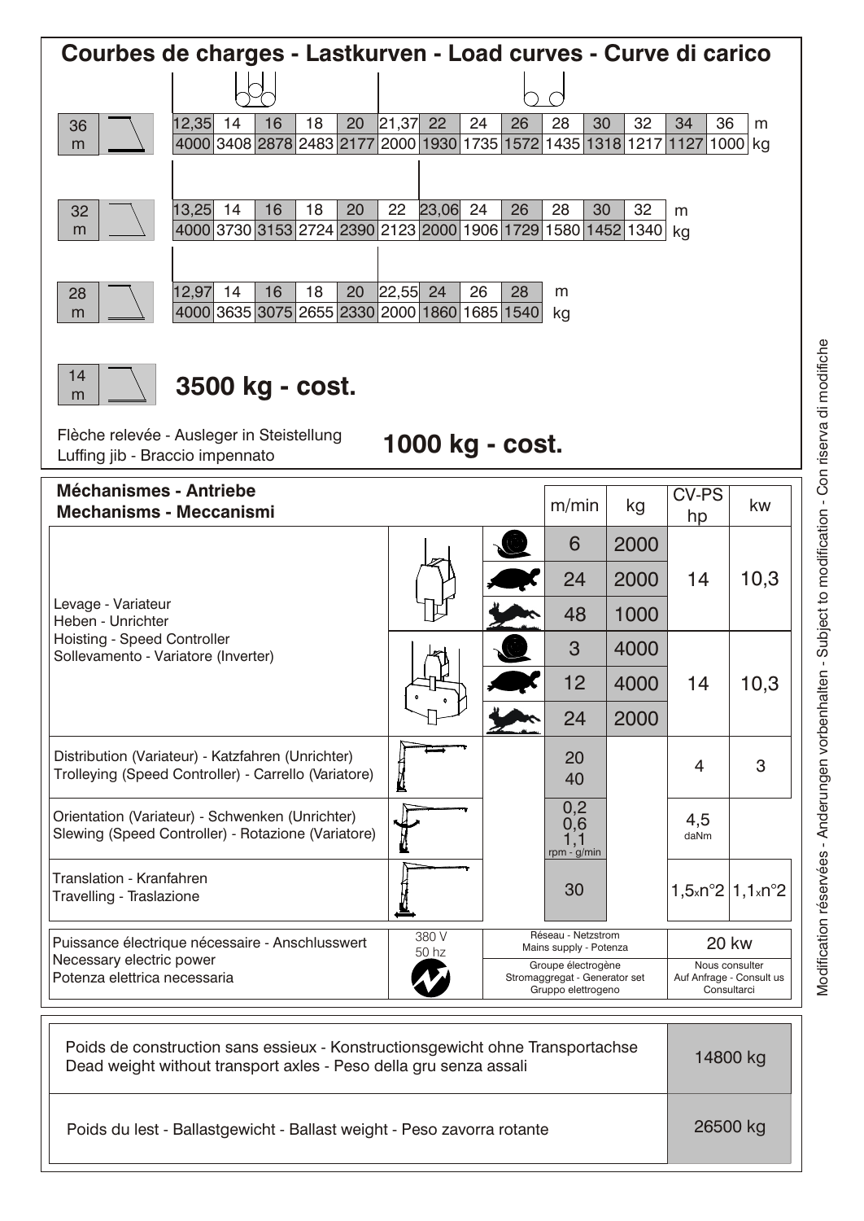| Courbes de charges - Lastkurven - Load curves - Curve di carico                                             |                                                                             |          |       |                |    |                                                     |                    |                                   |                                            |            |
|-------------------------------------------------------------------------------------------------------------|-----------------------------------------------------------------------------|----------|-------|----------------|----|-----------------------------------------------------|--------------------|-----------------------------------|--------------------------------------------|------------|
|                                                                                                             |                                                                             |          |       |                |    |                                                     |                    |                                   |                                            |            |
| 36                                                                                                          | 12,35<br>14<br>16                                                           | 18<br>20 | 21,37 | 22             | 24 | 26                                                  | 28                 | 30<br>32                          | 34<br>36                                   | m          |
| m                                                                                                           | 4000 3408 2878 2483 2177 2000 1930 1735 1572 1435 1318 1217 1127            |          |       |                |    |                                                     |                    |                                   |                                            | 1000<br>kg |
|                                                                                                             |                                                                             |          |       |                |    |                                                     |                    |                                   |                                            |            |
| 32<br>m                                                                                                     | 13,25<br>14<br>16<br>4000 3730 3153 2724 2390 2123 2000 1906 1729 1580 1452 | 18<br>20 | 22    | 23,06          | 24 | 26                                                  | 28                 | 32<br>30<br>1340                  | m<br>kg                                    |            |
|                                                                                                             |                                                                             |          |       |                |    |                                                     |                    |                                   |                                            |            |
| 28                                                                                                          | 12,97<br>14<br>16                                                           | 18<br>20 | 22,55 | 24             | 26 | 28                                                  | m                  |                                   |                                            |            |
| m                                                                                                           | 4000 3635 3075 2655 2330 2000 1860 1685 1540                                |          |       |                |    |                                                     | kg                 |                                   |                                            |            |
|                                                                                                             |                                                                             |          |       |                |    |                                                     |                    |                                   |                                            |            |
| 14                                                                                                          | 3500 kg - cost.                                                             |          |       |                |    |                                                     |                    |                                   |                                            |            |
| m                                                                                                           |                                                                             |          |       |                |    |                                                     |                    |                                   |                                            |            |
| Flèche relevée - Ausleger in Steistellung<br>1000 kg - cost.<br>Luffing jib - Braccio impennato             |                                                                             |          |       |                |    |                                                     |                    |                                   |                                            |            |
| <b>Méchanismes - Antriebe</b>                                                                               |                                                                             |          |       |                |    |                                                     |                    |                                   | <b>CV-PS</b>                               |            |
| <b>Mechanisms - Meccanismi</b>                                                                              |                                                                             |          |       |                |    |                                                     | m/min              | kg                                | hp                                         | kw         |
|                                                                                                             |                                                                             |          |       |                |    |                                                     | 6                  | 2000                              |                                            |            |
|                                                                                                             |                                                                             |          |       |                |    |                                                     | 24                 | 2000                              | 14                                         | 10,3       |
| Levage - Variateur<br>Heben - Unrichter                                                                     |                                                                             |          |       |                | 48 | 1000                                                |                    |                                   |                                            |            |
| Hoisting - Speed Controller<br>Sollevamento - Variatore (Inverter)                                          |                                                                             |          |       |                |    |                                                     | 3                  | 4000                              |                                            |            |
|                                                                                                             |                                                                             |          |       |                |    |                                                     | 12                 | 4000                              | 14                                         | 10,3       |
|                                                                                                             |                                                                             |          |       |                |    |                                                     | 24                 | 2000                              |                                            |            |
|                                                                                                             | Distribution (Variateur) - Katzfahren (Unrichter)                           |          |       |                |    |                                                     | 20                 |                                   |                                            |            |
| Trolleying (Speed Controller) - Carrello (Variatore)                                                        |                                                                             |          |       |                |    |                                                     | 40                 |                                   | 4                                          | 3          |
| Orientation (Variateur) - Schwenken (Unrichter)                                                             |                                                                             |          |       |                |    |                                                     | 0,2<br>0,6         |                                   | 4,5                                        |            |
|                                                                                                             | Slewing (Speed Controller) - Rotazione (Variatore)                          |          |       |                |    |                                                     | 1,1<br>rpm - g/min |                                   | daNm                                       |            |
| Translation - Kranfahren                                                                                    |                                                                             |          |       |                | 30 |                                                     |                    | $1,5 \times n°2$ 1,1 $\times n°2$ |                                            |            |
| Travelling - Traslazione                                                                                    |                                                                             |          |       |                |    |                                                     |                    |                                   |                                            |            |
| Puissance électrique nécessaire - Anschlusswert<br>Necessary electric power<br>Potenza elettrica necessaria |                                                                             |          |       | 380 V<br>50 hz |    | Réseau - Netzstrom<br>Mains supply - Potenza        |                    |                                   | <b>20 kw</b>                               |            |
|                                                                                                             |                                                                             |          |       | Æ              |    | Groupe électrogène<br>Stromaggregat - Generator set |                    |                                   | Nous consulter<br>Auf Anfrage - Consult us |            |

 $\boldsymbol{\mathcal{U}}$ Gruppo elettrogeno Consultarci Poids de construction sans essieux - Konstructionsgewicht ohne Transportachse

Polds de construction sans essieux - Konstructionsgewicht onne Transportachse 14800 kg<br>Dead weight without transport axles - Peso della gru senza assali

Poids du lest - Ballastgewicht - Ballast weight - Peso zavorra rotante | 26500 kg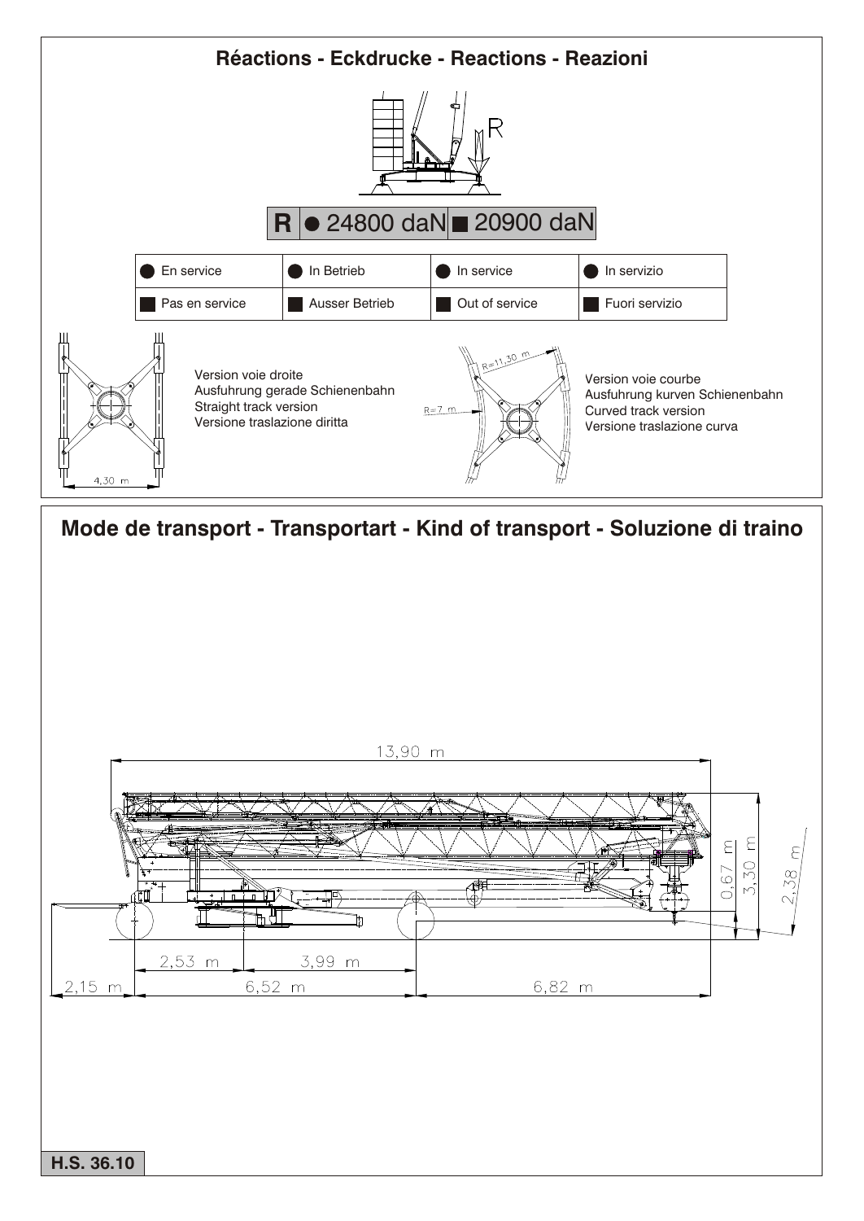